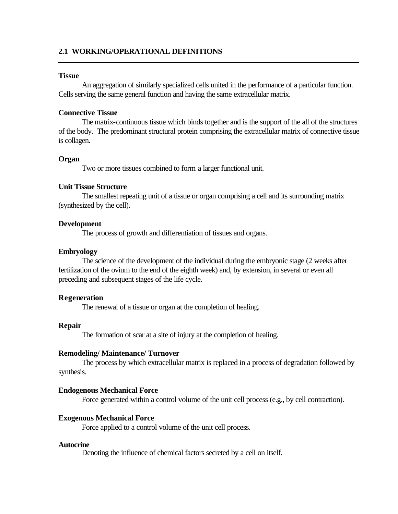# **2.1 WORKING/OPERATIONAL DEFINITIONS**

## **Tissue**

An aggregation of similarly specialized cells united in the performance of a particular function. Cells serving the same general function and having the same extracellular matrix.

#### **Connective Tissue**

The matrix-continuous tissue which binds together and is the support of the all of the structures of the body. The predominant structural protein comprising the extracellular matrix of connective tissue is collagen.

### **Organ**

Two or more tissues combined to form a larger functional unit.

## **Unit Tissue Structure**

The smallest repeating unit of a tissue or organ comprising a cell and its surrounding matrix (synthesized by the cell).

#### **Development**

The process of growth and differentiation of tissues and organs.

## **Embryology**

The science of the development of the individual during the embryonic stage (2 weeks after fertilization of the ovium to the end of the eighth week) and, by extension, in several or even all preceding and subsequent stages of the life cycle.

## **Regeneration**

The renewal of a tissue or organ at the completion of healing.

## **Repair**

The formation of scar at a site of injury at the completion of healing.

## **Remodeling/ Maintenance/ Turnover**

The process by which extracellular matrix is replaced in a process of degradation followed by synthesis.

## **Endogenous Mechanical Force**

Force generated within a control volume of the unit cell process (e.g., by cell contraction).

#### **Exogenous Mechanical Force**

Force applied to a control volume of the unit cell process.

#### **Autocrine**

Denoting the influence of chemical factors secreted by a cell on itself.